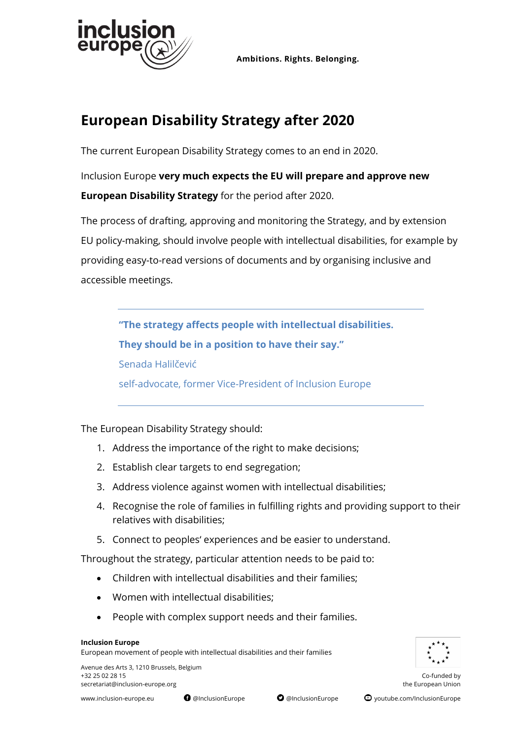

**Ambitions. Rights. Belonging.**

## **European Disability Strategy after 2020**

The current European Disability Strategy comes to an end in 2020.

Inclusion Europe **very much expects the EU will prepare and approve new European Disability Strategy** for the period after 2020.

The process of drafting, approving and monitoring the Strategy, and by extension EU policy-making, should involve people with intellectual disabilities, for example by providing easy-to-read versions of documents and by organising inclusive and accessible meetings.

**"The strategy affects people with intellectual disabilities. They should be in a position to have their say."**  Senada Halilčević self-advocate, former Vice-President of Inclusion Europe

The European Disability Strategy should:

- 1. Address the importance of the right to make decisions;
- 2. Establish clear targets to end segregation;
- 3. Address violence against women with intellectual disabilities;
- 4. Recognise the role of families in fulfilling rights and providing support to their relatives with disabilities;
- 5. Connect to peoples' experiences and be easier to understand.

Throughout the strategy, particular attention needs to be paid to:

- Children with intellectual disabilities and their families;
- Women with intellectual disabilities;
- People with complex support needs and their families.

#### **Inclusion Europe**

European movement of people with intellectual disabilities and their families



Avenue des Arts 3, 1210 Brussels, Belgium +32 25 02 28 15 Co-funded by [secretariat@inclusion-europe.org](mailto:secretariat@inclusion-europe.org) the European Union

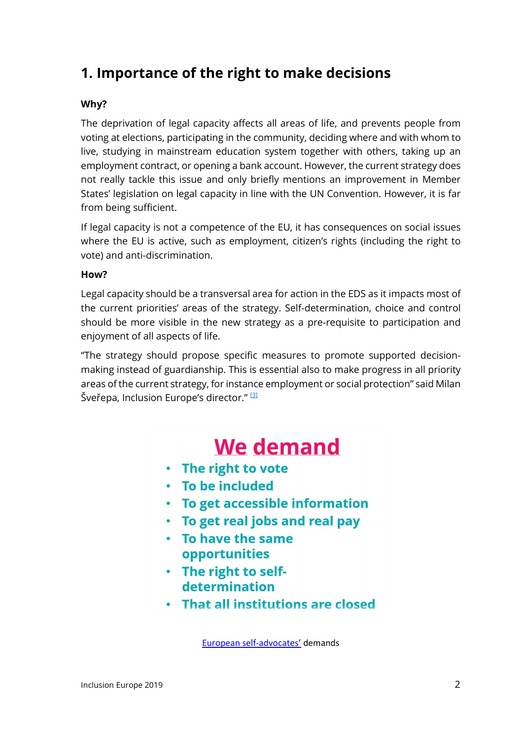## **1. Importance of the right to make decisions**

#### **Why?**

The deprivation of legal capacity affects all areas of life, and prevents people from voting at elections, participating in the community, deciding where and with whom to live, studying in mainstream education system together with others, taking up an employment contract, or opening a bank account. However, the current strategy does not really tackle this issue and only briefly mentions an improvement in Member States' legislation on legal capacity in line with the UN Convention. However, it is far from being sufficient.

If legal capacity is not a competence of the EU, it has consequences on social issues where the EU is active, such as employment, citizen's rights (including the right to vote) and anti-discrimination.

#### **How?**

Legal capacity should be a transversal area for action in the EDS as it impacts most of the current priorities' areas of the strategy. Self-determination, choice and control should be more visible in the new strategy as a pre-requisite to participation and enjoyment of all aspects of life.

"The strategy should propose specific measures to promote supported decisionmaking instead of guardianship. This is essential also to make progress in all priority areas of the current strategy, for instance employment or social protection" said Milan Šveřepa, Inclusion Europe's director."<sup>[\[3\]](https://euc-word-edit.officeapps.live.com/we/wordeditorframe.aspx?ui=en%2DUS&rs=en%2DUS&wopisrc=https%3A%2F%2Finclusioneur.sharepoint.com%2F_vti_bin%2Fwopi.ashx%2Ffiles%2F53a2fad92bbc4c4294c89d99aef02951&wdprevioussession=7d200734%2D7843%2D4da1%2Db452%2D735caf6bf94d&wdenableroaming=1&mscc=1&hid=B616039F-E09D-9000-8312-E151D7232E0F&wdorigin=Other&jsapi=1&newsession=1&corrid=c506ba97-c670-4310-a560-e628c57fab53&usid=c506ba97-c670-4310-a560-e628c57fab53&instantedit=1&wopicomplete=1&wdredirectionreason=Unified_SingleFlushFallback#_ftn3)</sup>

## We demand

- The right to vote
- · To be included
- To get accessible information
- To get real jobs and real pay
- To have the same opportunities
- . The right to selfdetermination
- . That all institutions are closed

[European self-advocates'](https://www.inclusion-europe.eu/if-you-dare-to-speak-up-inclusion-happens/) demands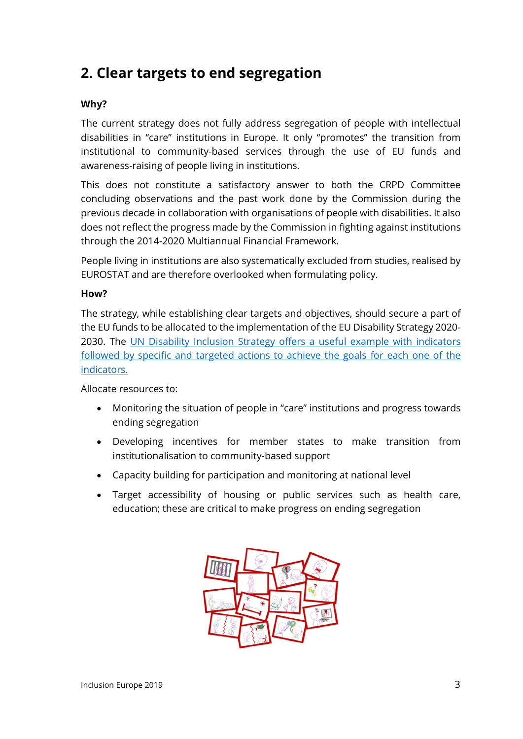## **2. Clear targets to end segregation**

#### **Why?**

The current strategy does not fully address segregation of people with intellectual disabilities in "care" institutions in Europe. It only "promotes" the transition from institutional to community-based services through the use of EU funds and awareness-raising of people living in institutions.

This does not constitute a satisfactory answer to both the CRPD Committee concluding observations and the past work done by the Commission during the previous decade in collaboration with organisations of people with disabilities. It also does not reflect the progress made by the Commission in fighting against institutions through the 2014-2020 Multiannual Financial Framework.

People living in institutions are also systematically excluded from studies, realised by EUROSTAT and are therefore overlooked when formulating policy.

#### **How?**

The strategy, while establishing clear targets and objectives, should secure a part of the EU funds to be allocated to the implementation of the EU Disability Strategy 2020- 2030. The [UN Disability Inclusion Strategy](https://www.un.org/development/desa/disabilities/wp-content/uploads/sites/15/2019/03/UNDIS_20-March-2019_for-HLCM.P.pdf) offers a useful example with indicators followed by specific and targeted actions to achieve the goals for each one of the indicators.

Allocate resources to:

- Monitoring the situation of people in "care" institutions and progress towards ending segregation
- Developing incentives for member states to make transition from institutionalisation to community-based support
- Capacity building for participation and monitoring at national level
- Target accessibility of housing or public services such as health care, education; these are critical to make progress on ending segregation

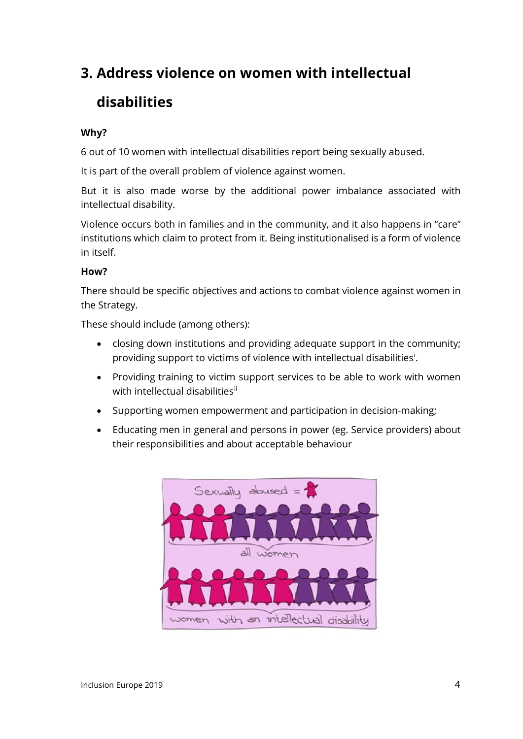## **3. Address violence on women with intellectual disabilities**

#### **Why?**

6 out of 10 women with intellectual disabilities report being sexually abused.

It is part of the overall problem of violence against women.

But it is also made worse by the additional power imbalance associated with intellectual disability.

Violence occurs both in families and in the community, and it also happens in "care" institutions which claim to protect from it. Being institutionalised is a form of violence in itself.

#### **How?**

There should be specific objectives and actions to combat violence against women in the Strategy.

These should include (among others):

- closing down institutions and providing adequate support in the community; prov[i](#page-5-0)ding support to victims of violence with intellectual disabilities<sup>i</sup>.
- Providing training to victim support services to be able to work with women with intellectual disabilities[ii](#page-5-1)
- Supporting women empowerment and participation in decision-making;
- Educating men in general and persons in power (eg. Service providers) about their responsibilities and about acceptable behaviour

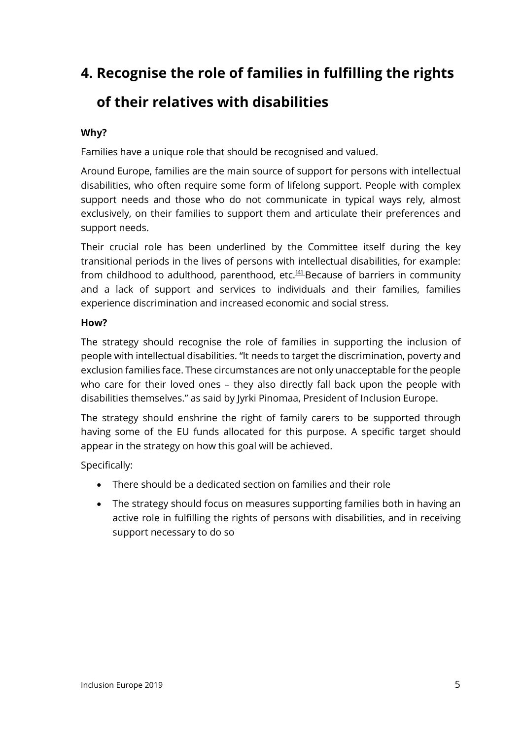# **4. Recognise the role of families in fulfilling the rights**

## **of their relatives with disabilities**

### **Why?**

Families have a unique role that should be recognised and valued.

Around Europe, families are the main source of support for persons with intellectual disabilities, who often require some form of lifelong support. People with complex support needs and those who do not communicate in typical ways rely, almost exclusively, on their families to support them and articulate their preferences and support needs.

Their crucial role has been underlined by the Committee itself during the key transitional periods in the lives of persons with intellectual disabilities, for example: from childhood to adulthood, parenthood, etc. $[4]$ -Because of barriers in community and a lack of support and services to individuals and their families, families experience discrimination and increased economic and social stress.

#### **How?**

The strategy should recognise the role of families in supporting the inclusion of people with intellectual disabilities. "It needs to target the discrimination, poverty and exclusion families face. These circumstances are not only unacceptable for the people who care for their loved ones – they also directly fall back upon the people with disabilities themselves." as said by Jyrki Pinomaa, President of Inclusion Europe.

The strategy should enshrine the right of family carers to be supported through having some of the EU funds allocated for this purpose. A specific target should appear in the strategy on how this goal will be achieved.

Specifically:

- There should be a dedicated section on families and their role
- The strategy should focus on measures supporting families both in having an active role in fulfilling the rights of persons with disabilities, and in receiving support necessary to do so